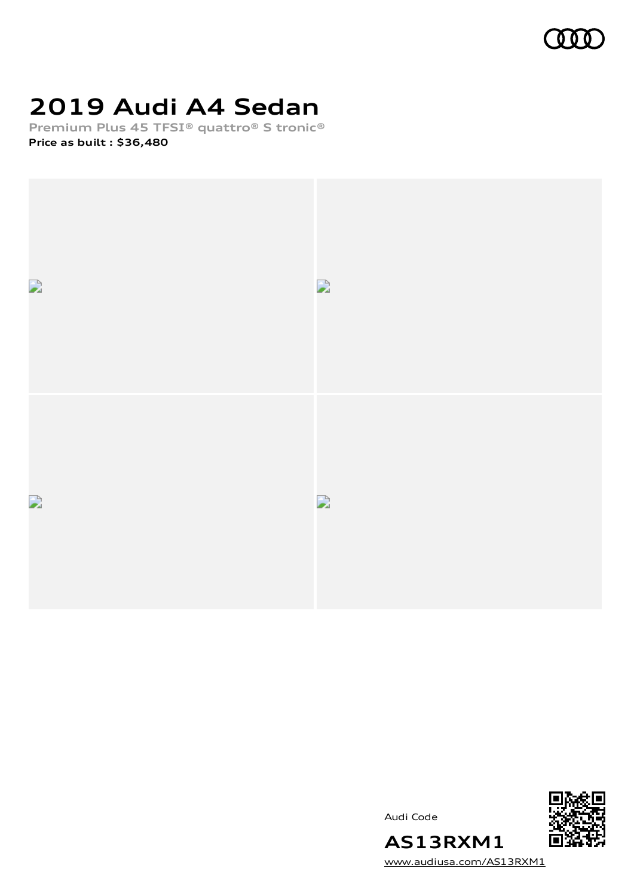

# **2019 Audi A4 Sedan**

**Premium Plus 45 TFSI® quattro® S tronic® Price as built [:](#page-8-0) \$36,480**



Audi Code



**AS13RXM1** [www.audiusa.com/AS13RXM1](https://www.audiusa.com/AS13RXM1)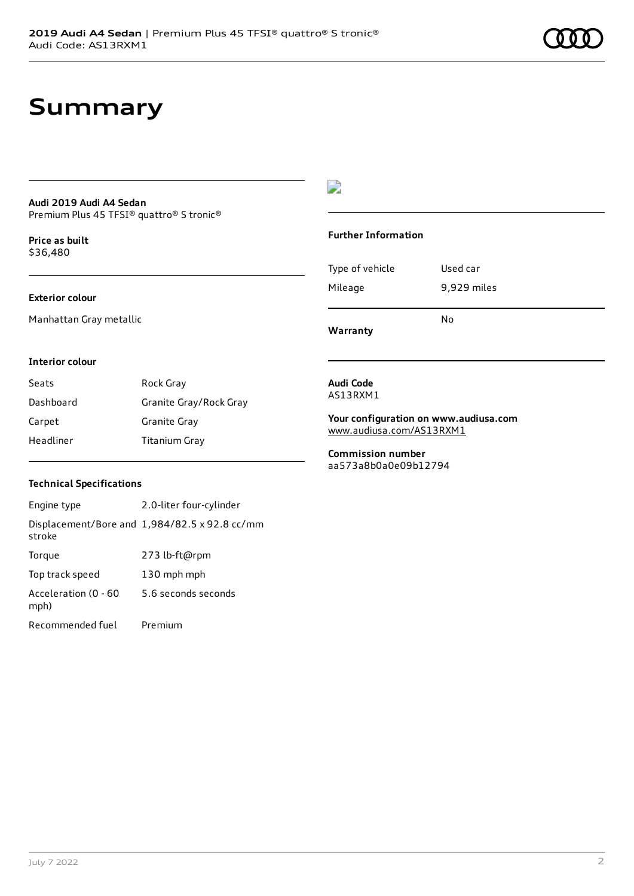### **Summary**

#### **Audi 2019 Audi A4 Sedan** Premium Plus 45 TFSI® quattro® S tronic®

**Price as buil[t](#page-8-0)** \$36,480

#### **Exterior colour**

Manhattan Gray metallic

### $\overline{\phantom{a}}$

#### **Further Information**

Type of vehicle Used car Mileage 9,929 miles No

**Warranty**

#### **Interior colour**

| Seats     | Rock Gray              |
|-----------|------------------------|
| Dashboard | Granite Gray/Rock Gray |
| Carpet    | Granite Gray           |
| Headliner | Titanium Gray          |

#### **Audi Code** AS13RXM1

**Your configuration on www.audiusa.com** [www.audiusa.com/AS13RXM1](https://www.audiusa.com/AS13RXM1)

**Commission number** aa573a8b0a0e09b12794

#### **Technical Specifications**

| Engine type                  | 2.0-liter four-cylinder                       |
|------------------------------|-----------------------------------------------|
| stroke                       | Displacement/Bore and 1,984/82.5 x 92.8 cc/mm |
| Torque                       | 273 lb-ft@rpm                                 |
| Top track speed              | 130 mph mph                                   |
| Acceleration (0 - 60<br>mph) | 5.6 seconds seconds                           |
| Recommended fuel             | Premium                                       |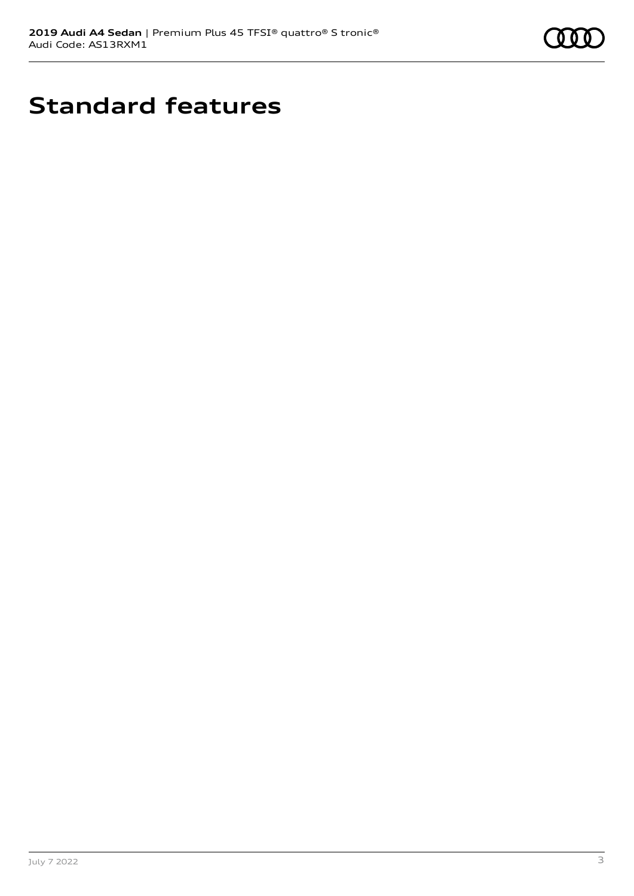

# **Standard features**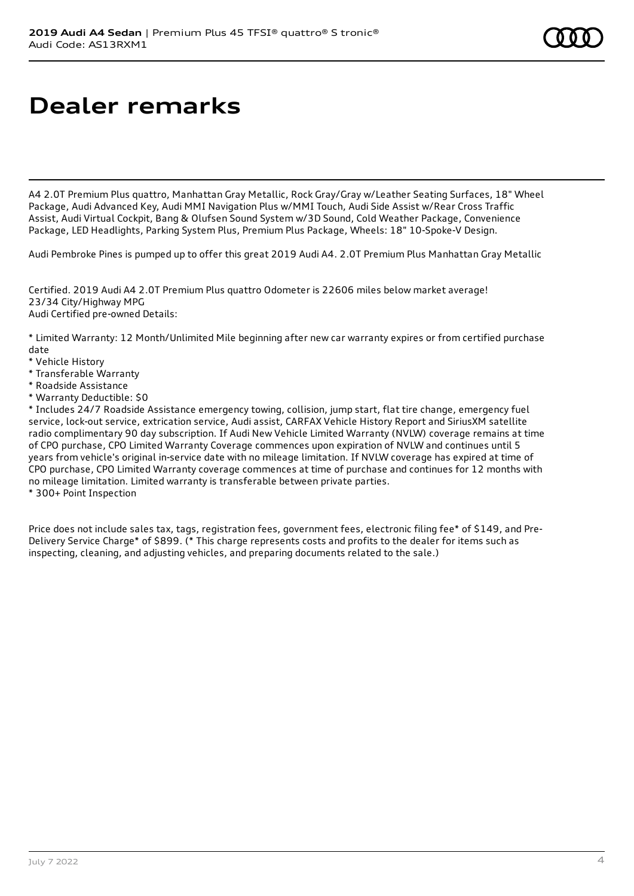# **Dealer remarks**

A4 2.0T Premium Plus quattro, Manhattan Gray Metallic, Rock Gray/Gray w/Leather Seating Surfaces, 18" Wheel Package, Audi Advanced Key, Audi MMI Navigation Plus w/MMI Touch, Audi Side Assist w/Rear Cross Traffic Assist, Audi Virtual Cockpit, Bang & Olufsen Sound System w/3D Sound, Cold Weather Package, Convenience Package, LED Headlights, Parking System Plus, Premium Plus Package, Wheels: 18" 10-Spoke-V Design.

Audi Pembroke Pines is pumped up to offer this great 2019 Audi A4. 2.0T Premium Plus Manhattan Gray Metallic

Certified. 2019 Audi A4 2.0T Premium Plus quattro Odometer is 22606 miles below market average! 23/34 City/Highway MPG Audi Certified pre-owned Details:

\* Limited Warranty: 12 Month/Unlimited Mile beginning after new car warranty expires or from certified purchase date

- \* Vehicle History
- \* Transferable Warranty
- \* Roadside Assistance
- \* Warranty Deductible: \$0

\* Includes 24/7 Roadside Assistance emergency towing, collision, jump start, flat tire change, emergency fuel service, lock-out service, extrication service, Audi assist, CARFAX Vehicle History Report and SiriusXM satellite radio complimentary 90 day subscription. If Audi New Vehicle Limited Warranty (NVLW) coverage remains at time of CPO purchase, CPO Limited Warranty Coverage commences upon expiration of NVLW and continues until 5 years from vehicle's original in-service date with no mileage limitation. If NVLW coverage has expired at time of CPO purchase, CPO Limited Warranty coverage commences at time of purchase and continues for 12 months with no mileage limitation. Limited warranty is transferable between private parties.

\* 300+ Point Inspection

Price does not include sales tax, tags, registration fees, government fees, electronic filing fee\* of \$149, and Pre-Delivery Service Charge\* of \$899. (\* This charge represents costs and profits to the dealer for items such as inspecting, cleaning, and adjusting vehicles, and preparing documents related to the sale.)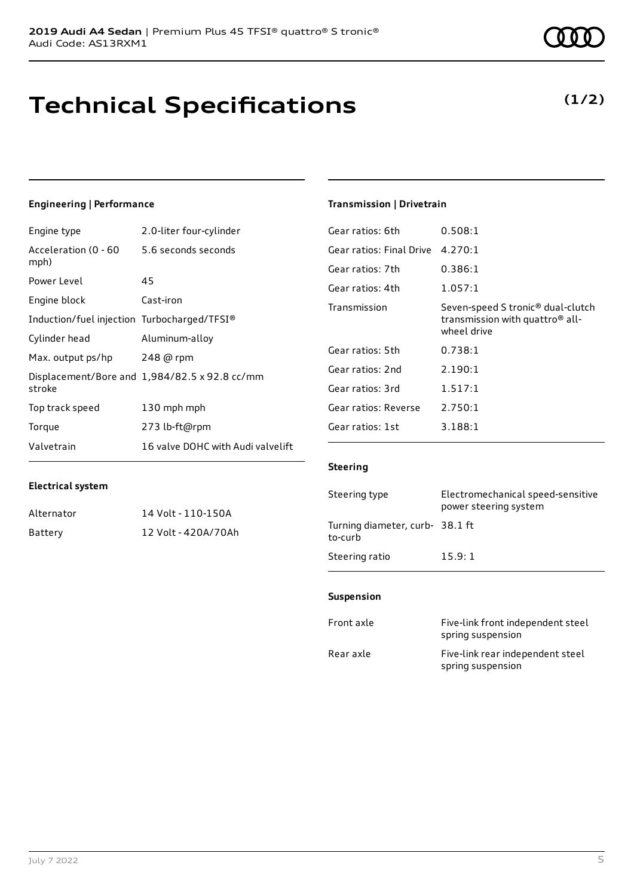### **Technical Specifications**

July 7 2022 5

**Electrical system**

### **Engineering | Performance**

Engine type 2.0-liter four-cylinder

Alternator 14 Volt - 110-150A Battery 12 Volt - 420A/70Ah

| Acceleration (0 - 60<br>mph)                | 5.6 seconds seconds                           |
|---------------------------------------------|-----------------------------------------------|
| Power Level                                 | 45                                            |
| Engine block                                | Cast-iron                                     |
| Induction/fuel injection Turbocharged/TFSI® |                                               |
| Cylinder head                               | Aluminum-alloy                                |
| Max. output ps/hp                           | 248 @ rpm                                     |
| stroke                                      | Displacement/Bore and 1,984/82.5 x 92.8 cc/mm |
| Top track speed                             | 130 mph mph                                   |
| Torque                                      | 273 lb-ft@rpm                                 |
| Valvetrain                                  | 16 valve DOHC with Audi valvelift             |

#### **Transmission | Drivetrain**

| Gear ratios: 6th         | 0.508:1                                                                                                     |
|--------------------------|-------------------------------------------------------------------------------------------------------------|
| Gear ratios: Final Drive | 4.270:1                                                                                                     |
| Gear ratios: 7th         | 0.386:1                                                                                                     |
| Gear ratios: 4th         | 1.057:1                                                                                                     |
| Transmission             | Seven-speed S tronic <sup>®</sup> dual-clutch<br>transmission with quattro <sup>®</sup> all-<br>wheel drive |
| Gear ratios: 5th         | 0.738:1                                                                                                     |
| Gear ratios: 2nd         | 2.190:1                                                                                                     |
| Gear ratios: 3rd         | 1.517:1                                                                                                     |
| Gear ratios: Reverse     | 2.750:1                                                                                                     |
| Gear ratios: 1st         | 3.188:1                                                                                                     |

#### **Steering**

| Steering type                             | Electromechanical speed-sensitive<br>power steering system |
|-------------------------------------------|------------------------------------------------------------|
| Turning diameter, curb-38.1 ft<br>to-curb |                                                            |
| Steering ratio                            | 15.9:1                                                     |

#### **Suspension**

| Front axle | Five-link front independent steel<br>spring suspension |
|------------|--------------------------------------------------------|
| Rear axle  | Five-link rear independent steel<br>spring suspension  |



### **(1/2)**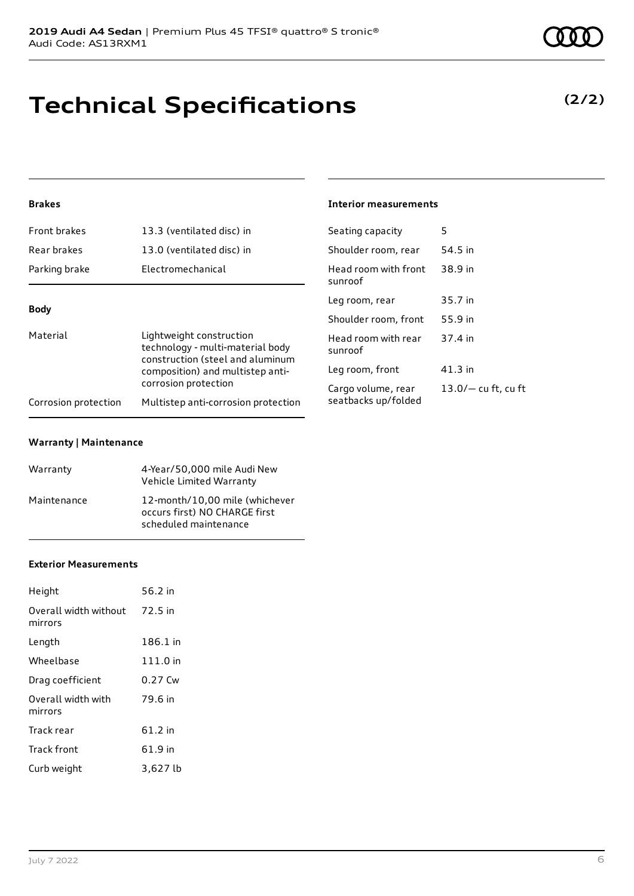# **Technical Specifications**

### **Brakes**

| Front brakes                                                                                                                                                             | 13.3 (ventilated disc) in           | Seating capacity                | 5                     |
|--------------------------------------------------------------------------------------------------------------------------------------------------------------------------|-------------------------------------|---------------------------------|-----------------------|
| Rear brakes                                                                                                                                                              | 13.0 (ventilated disc) in           | Shoulder room, rear             | 54.5 in               |
| Parking brake                                                                                                                                                            | Electromechanical                   | Head room with front<br>sunroof | 38.9 in               |
| <b>Body</b>                                                                                                                                                              |                                     | Leg room, rear                  | 35.7 in               |
|                                                                                                                                                                          |                                     | Shoulder room, front            | 55.9 in               |
| Material<br>Lightweight construction<br>technology - multi-material body<br>construction (steel and aluminum<br>composition) and multistep anti-<br>corrosion protection | Head room with rear<br>sunroof      | 37.4 in                         |                       |
|                                                                                                                                                                          | Leg room, front                     | $41.3$ in                       |                       |
|                                                                                                                                                                          |                                     | Cargo volume, rear              | $13.0/-$ cu ft, cu ft |
| Corrosion protection                                                                                                                                                     | Multistep anti-corrosion protection | seatbacks up/folded             |                       |

**Interior measurements**

#### **Warranty | Maintenance**

| Warranty    | 4-Year/50,000 mile Audi New<br>Vehicle Limited Warranty                                  |
|-------------|------------------------------------------------------------------------------------------|
| Maintenance | 12-month/10.00 mile (whichever<br>occurs first) NO CHARGE first<br>scheduled maintenance |

#### **Exterior Measurements**

| Height                           | 56.2 in   |
|----------------------------------|-----------|
| Overall width without<br>mirrors | 72.5 in   |
| Length                           | 186.1 in  |
| Wheelbase                        | 111.0 in  |
| Drag coefficient                 | $0.27$ Cw |
| Overall width with<br>mirrors    | 79.6 in   |
| Track rear                       | $61.2$ in |
| Track front                      | 61.9 in   |
| Curb weight                      | 3,627 lb  |

### **(2/2)**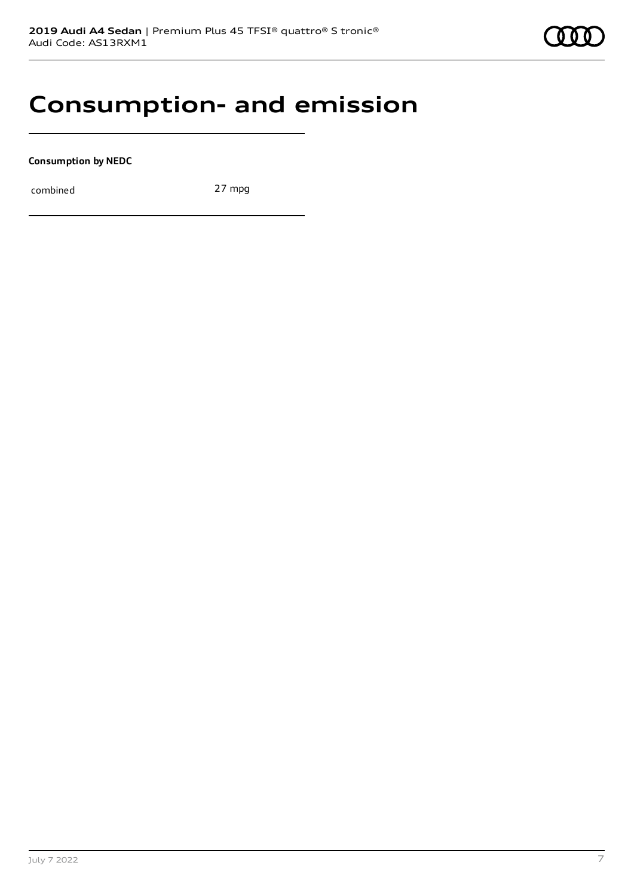### **Consumption- and emission**

**Consumption by NEDC**

combined 27 mpg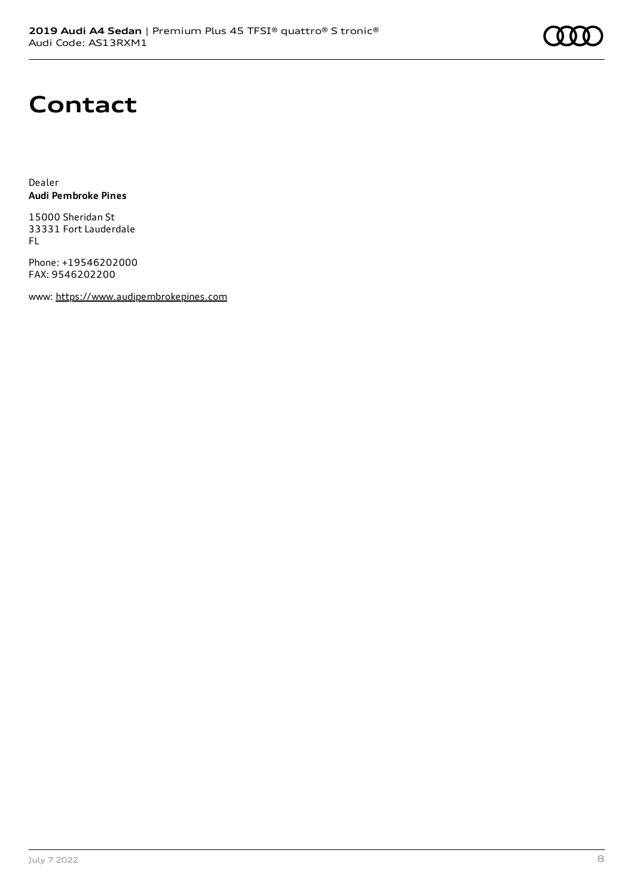# **Contact**

Dealer **Audi Pembroke Pines**

15000 Sheridan St 33331 Fort Lauderdale FL

Phone: +19546202000 FAX: 9546202200

www: [https://www.audipembrokepines.com](https://www.audipembrokepines.com/)